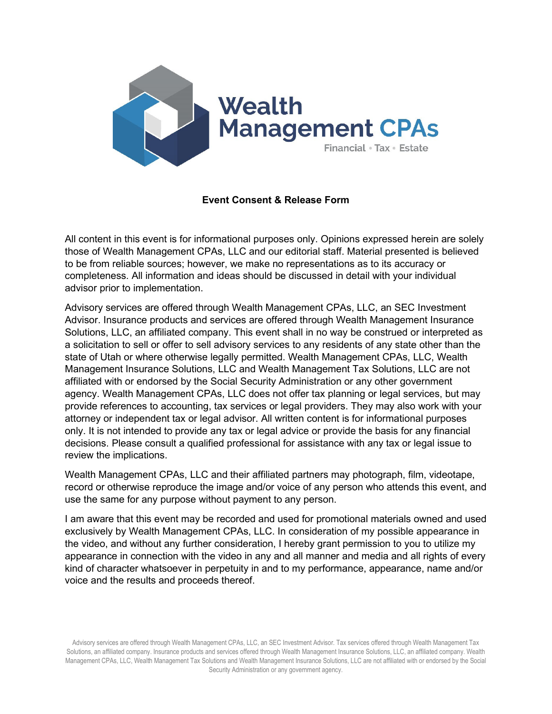

## **Event Consent & Release Form**

All content in this event is for informational purposes only. Opinions expressed herein are solely those of Wealth Management CPAs, LLC and our editorial staff. Material presented is believed to be from reliable sources; however, we make no representations as to its accuracy or completeness. All information and ideas should be discussed in detail with your individual advisor prior to implementation.

Advisory services are offered through Wealth Management CPAs, LLC, an SEC Investment Advisor. Insurance products and services are offered through Wealth Management Insurance Solutions, LLC, an affiliated company. This event shall in no way be construed or interpreted as a solicitation to sell or offer to sell advisory services to any residents of any state other than the state of Utah or where otherwise legally permitted. Wealth Management CPAs, LLC, Wealth Management Insurance Solutions, LLC and Wealth Management Tax Solutions, LLC are not affiliated with or endorsed by the Social Security Administration or any other government agency. Wealth Management CPAs, LLC does not offer tax planning or legal services, but may provide references to accounting, tax services or legal providers. They may also work with your attorney or independent tax or legal advisor. All written content is for informational purposes only. It is not intended to provide any tax or legal advice or provide the basis for any financial decisions. Please consult a qualified professional for assistance with any tax or legal issue to review the implications.

Wealth Management CPAs, LLC and their affiliated partners may photograph, film, videotape, record or otherwise reproduce the image and/or voice of any person who attends this event, and use the same for any purpose without payment to any person.

I am aware that this event may be recorded and used for promotional materials owned and used exclusively by Wealth Management CPAs, LLC. In consideration of my possible appearance in the video, and without any further consideration, I hereby grant permission to you to utilize my appearance in connection with the video in any and all manner and media and all rights of every kind of character whatsoever in perpetuity in and to my performance, appearance, name and/or voice and the results and proceeds thereof.

Advisory services are offered through Wealth Management CPAs, LLC, an SEC Investment Advisor. Tax services offered through Wealth Management Tax Solutions, an affiliated company. Insurance products and services offered through Wealth Management Insurance Solutions, LLC, an affiliated company. Wealth Management CPAs, LLC, Wealth Management Tax Solutions and Wealth Management Insurance Solutions, LLC are not affiliated with or endorsed by the Social Security Administration or any government agency.